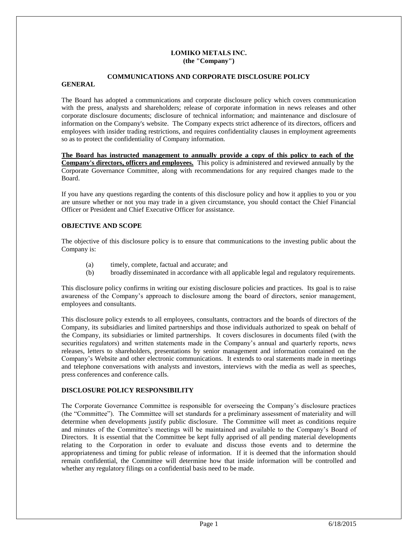## **LOMIKO METALS INC. (the "Company")**

# **COMMUNICATIONS AND CORPORATE DISCLOSURE POLICY**

## **GENERAL**

The Board has adopted a communications and corporate disclosure policy which covers communication with the press, analysts and shareholders; release of corporate information in news releases and other corporate disclosure documents; disclosure of technical information; and maintenance and disclosure of information on the Company's website. The Company expects strict adherence of its directors, officers and employees with insider trading restrictions, and requires confidentiality clauses in employment agreements so as to protect the confidentiality of Company information.

**The Board has instructed management to annually provide a copy of this policy to each of the Company's directors, officers and employees.** This policy is administered and reviewed annually by the Corporate Governance Committee, along with recommendations for any required changes made to the Board.

If you have any questions regarding the contents of this disclosure policy and how it applies to you or you are unsure whether or not you may trade in a given circumstance, you should contact the Chief Financial Officer or President and Chief Executive Officer for assistance.

# **OBJECTIVE AND SCOPE**

The objective of this disclosure policy is to ensure that communications to the investing public about the Company is:

- (a) timely, complete, factual and accurate; and
- (b) broadly disseminated in accordance with all applicable legal and regulatory requirements.

This disclosure policy confirms in writing our existing disclosure policies and practices. Its goal is to raise awareness of the Company's approach to disclosure among the board of directors, senior management, employees and consultants.

This disclosure policy extends to all employees, consultants, contractors and the boards of directors of the Company, its subsidiaries and limited partnerships and those individuals authorized to speak on behalf of the Company, its subsidiaries or limited partnerships. It covers disclosures in documents filed (with the securities regulators) and written statements made in the Company's annual and quarterly reports, news releases, letters to shareholders, presentations by senior management and information contained on the Company's Website and other electronic communications. It extends to oral statements made in meetings and telephone conversations with analysts and investors, interviews with the media as well as speeches, press conferences and conference calls.

### **DISCLOSURE POLICY RESPONSIBILITY**

The Corporate Governance Committee is responsible for overseeing the Company's disclosure practices (the "Committee"). The Committee will set standards for a preliminary assessment of materiality and will determine when developments justify public disclosure. The Committee will meet as conditions require and minutes of the Committee's meetings will be maintained and available to the Company's Board of Directors. It is essential that the Committee be kept fully apprised of all pending material developments relating to the Corporation in order to evaluate and discuss those events and to determine the appropriateness and timing for public release of information. If it is deemed that the information should remain confidential, the Committee will determine how that inside information will be controlled and whether any regulatory filings on a confidential basis need to be made.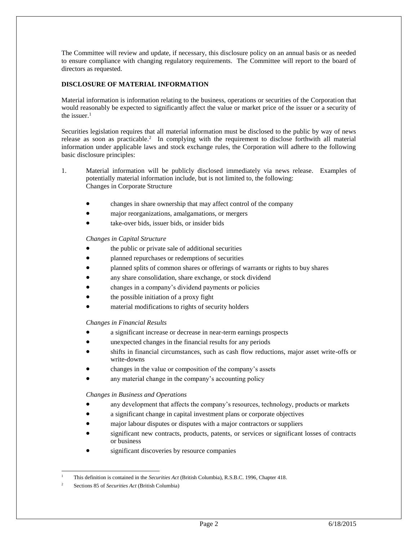The Committee will review and update, if necessary, this disclosure policy on an annual basis or as needed to ensure compliance with changing regulatory requirements. The Committee will report to the board of directors as requested.

# **DISCLOSURE OF MATERIAL INFORMATION**

Material information is information relating to the business, operations or securities of the Corporation that would reasonably be expected to significantly affect the value or market price of the issuer or a security of the issuer. $<sup>1</sup>$ </sup>

Securities legislation requires that all material information must be disclosed to the public by way of news release as soon as practicable.<sup>2</sup> In complying with the requirement to disclose forthwith all material information under applicable laws and stock exchange rules, the Corporation will adhere to the following basic disclosure principles:

- 1. Material information will be publicly disclosed immediately via news release. Examples of potentially material information include, but is not limited to, the following: Changes in Corporate Structure
	- changes in share ownership that may affect control of the company
	- major reorganizations, amalgamations, or mergers
	- take-over bids, issuer bids, or insider bids

*Changes in Capital Structure*

- the public or private sale of additional securities
- planned repurchases or redemptions of securities
- planned splits of common shares or offerings of warrants or rights to buy shares
- any share consolidation, share exchange, or stock dividend
- changes in a company's dividend payments or policies
- the possible initiation of a proxy fight
- material modifications to rights of security holders

*Changes in Financial Results*

- a significant increase or decrease in near-term earnings prospects
- unexpected changes in the financial results for any periods
- shifts in financial circumstances, such as cash flow reductions, major asset write-offs or write-downs
- changes in the value or composition of the company's assets
- any material change in the company's accounting policy

*Changes in Business and Operations*

- any development that affects the company's resources, technology, products or markets
- a significant change in capital investment plans or corporate objectives
- major labour disputes or disputes with a major contractors or suppliers
- significant new contracts, products, patents, or services or significant losses of contracts or business
- significant discoveries by resource companies

l <sup>1</sup> This definition is contained in the *Securities Act* (British Columbia), R.S.B.C. 1996, Chapter 418.

<sup>2</sup> Sections 85 of *Securities Act* (British Columbia)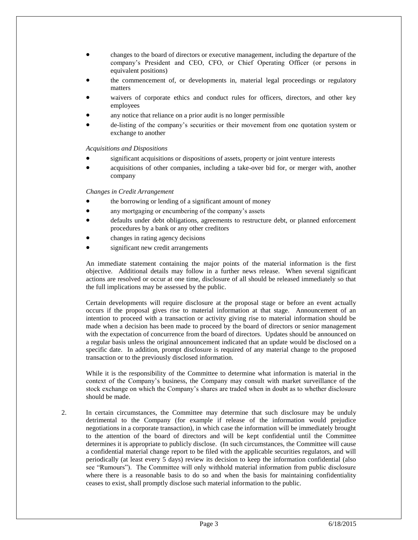- changes to the board of directors or executive management, including the departure of the company's President and CEO, CFO, or Chief Operating Officer (or persons in equivalent positions)
- the commencement of, or developments in, material legal proceedings or regulatory matters
- waivers of corporate ethics and conduct rules for officers, directors, and other key employees
- any notice that reliance on a prior audit is no longer permissible
- de-listing of the company's securities or their movement from one quotation system or exchange to another

*Acquisitions and Dispositions*

- significant acquisitions or dispositions of assets, property or joint venture interests
- acquisitions of other companies, including a take-over bid for, or merger with, another company

*Changes in Credit Arrangement*

- the borrowing or lending of a significant amount of money
- any mortgaging or encumbering of the company's assets
- defaults under debt obligations, agreements to restructure debt, or planned enforcement procedures by a bank or any other creditors
- changes in rating agency decisions
- significant new credit arrangements

An immediate statement containing the major points of the material information is the first objective. Additional details may follow in a further news release. When several significant actions are resolved or occur at one time, disclosure of all should be released immediately so that the full implications may be assessed by the public.

Certain developments will require disclosure at the proposal stage or before an event actually occurs if the proposal gives rise to material information at that stage. Announcement of an intention to proceed with a transaction or activity giving rise to material information should be made when a decision has been made to proceed by the board of directors or senior management with the expectation of concurrence from the board of directors. Updates should be announced on a regular basis unless the original announcement indicated that an update would be disclosed on a specific date. In addition, prompt disclosure is required of any material change to the proposed transaction or to the previously disclosed information.

While it is the responsibility of the Committee to determine what information is material in the context of the Company's business, the Company may consult with market surveillance of the stock exchange on which the Company's shares are traded when in doubt as to whether disclosure should be made.

2. In certain circumstances, the Committee may determine that such disclosure may be unduly detrimental to the Company (for example if release of the information would prejudice negotiations in a corporate transaction), in which case the information will be immediately brought to the attention of the board of directors and will be kept confidential until the Committee determines it is appropriate to publicly disclose. (In such circumstances, the Committee will cause a confidential material change report to be filed with the applicable securities regulators, and will periodically (at least every 5 days) review its decision to keep the information confidential (also see "Rumours"). The Committee will only withhold material information from public disclosure where there is a reasonable basis to do so and when the basis for maintaining confidentiality ceases to exist, shall promptly disclose such material information to the public.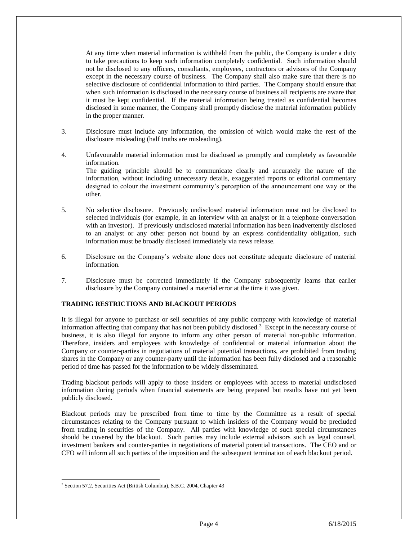At any time when material information is withheld from the public, the Company is under a duty to take precautions to keep such information completely confidential. Such information should not be disclosed to any officers, consultants, employees, contractors or advisors of the Company except in the necessary course of business. The Company shall also make sure that there is no selective disclosure of confidential information to third parties. The Company should ensure that when such information is disclosed in the necessary course of business all recipients are aware that it must be kept confidential. If the material information being treated as confidential becomes disclosed in some manner, the Company shall promptly disclose the material information publicly in the proper manner.

- 3. Disclosure must include any information, the omission of which would make the rest of the disclosure misleading (half truths are misleading).
- 4. Unfavourable material information must be disclosed as promptly and completely as favourable information. The guiding principle should be to communicate clearly and accurately the nature of the information, without including unnecessary details, exaggerated reports or editorial commentary designed to colour the investment community's perception of the announcement one way or the other.
- 5. No selective disclosure. Previously undisclosed material information must not be disclosed to selected individuals (for example, in an interview with an analyst or in a telephone conversation with an investor). If previously undisclosed material information has been inadvertently disclosed to an analyst or any other person not bound by an express confidentiality obligation, such information must be broadly disclosed immediately via news release.
- 6. Disclosure on the Company's website alone does not constitute adequate disclosure of material information.
- 7. Disclosure must be corrected immediately if the Company subsequently learns that earlier disclosure by the Company contained a material error at the time it was given.

# **TRADING RESTRICTIONS AND BLACKOUT PERIODS**

It is illegal for anyone to purchase or sell securities of any public company with knowledge of material information affecting that company that has not been publicly disclosed.<sup>3</sup> Except in the necessary course of business, it is also illegal for anyone to inform any other person of material non-public information. Therefore, insiders and employees with knowledge of confidential or material information about the Company or counter-parties in negotiations of material potential transactions, are prohibited from trading shares in the Company or any counter-party until the information has been fully disclosed and a reasonable period of time has passed for the information to be widely disseminated.

Trading blackout periods will apply to those insiders or employees with access to material undisclosed information during periods when financial statements are being prepared but results have not yet been publicly disclosed.

Blackout periods may be prescribed from time to time by the Committee as a result of special circumstances relating to the Company pursuant to which insiders of the Company would be precluded from trading in securities of the Company. All parties with knowledge of such special circumstances should be covered by the blackout. Such parties may include external advisors such as legal counsel, investment bankers and counter-parties in negotiations of material potential transactions. The CEO and or CFO will inform all such parties of the imposition and the subsequent termination of each blackout period.

 $\overline{a}$ <sup>3</sup> Section 57.2, Securities Act (British Columbia), S.B.C. 2004, Chapter 43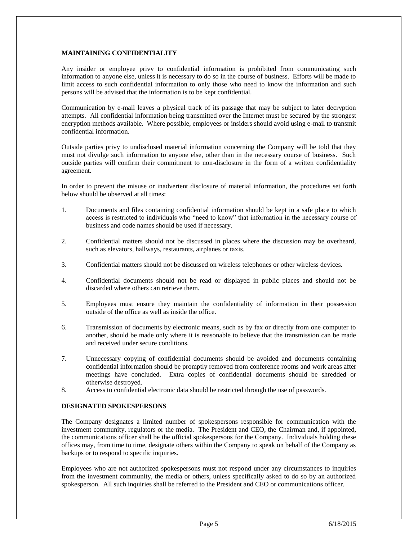## **MAINTAINING CONFIDENTIALITY**

Any insider or employee privy to confidential information is prohibited from communicating such information to anyone else, unless it is necessary to do so in the course of business. Efforts will be made to limit access to such confidential information to only those who need to know the information and such persons will be advised that the information is to be kept confidential.

Communication by e-mail leaves a physical track of its passage that may be subject to later decryption attempts. All confidential information being transmitted over the Internet must be secured by the strongest encryption methods available. Where possible, employees or insiders should avoid using e-mail to transmit confidential information.

Outside parties privy to undisclosed material information concerning the Company will be told that they must not divulge such information to anyone else, other than in the necessary course of business. Such outside parties will confirm their commitment to non-disclosure in the form of a written confidentiality agreement.

In order to prevent the misuse or inadvertent disclosure of material information, the procedures set forth below should be observed at all times:

- 1. Documents and files containing confidential information should be kept in a safe place to which access is restricted to individuals who "need to know" that information in the necessary course of business and code names should be used if necessary.
- 2. Confidential matters should not be discussed in places where the discussion may be overheard, such as elevators, hallways, restaurants, airplanes or taxis.
- 3. Confidential matters should not be discussed on wireless telephones or other wireless devices.
- 4. Confidential documents should not be read or displayed in public places and should not be discarded where others can retrieve them.
- 5. Employees must ensure they maintain the confidentiality of information in their possession outside of the office as well as inside the office.
- 6. Transmission of documents by electronic means, such as by fax or directly from one computer to another, should be made only where it is reasonable to believe that the transmission can be made and received under secure conditions.
- 7. Unnecessary copying of confidential documents should be avoided and documents containing confidential information should be promptly removed from conference rooms and work areas after meetings have concluded. Extra copies of confidential documents should be shredded or otherwise destroyed.
- 8. Access to confidential electronic data should be restricted through the use of passwords.

### **DESIGNATED SPOKESPERSONS**

The Company designates a limited number of spokespersons responsible for communication with the investment community, regulators or the media. The President and CEO, the Chairman and, if appointed, the communications officer shall be the official spokespersons for the Company. Individuals holding these offices may, from time to time, designate others within the Company to speak on behalf of the Company as backups or to respond to specific inquiries.

Employees who are not authorized spokespersons must not respond under any circumstances to inquiries from the investment community, the media or others, unless specifically asked to do so by an authorized spokesperson. All such inquiries shall be referred to the President and CEO or communications officer.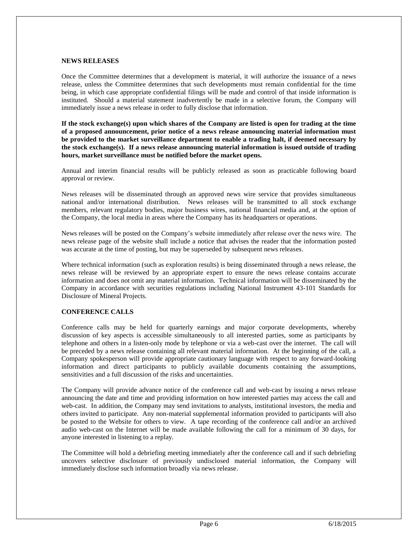#### **NEWS RELEASES**

Once the Committee determines that a development is material, it will authorize the issuance of a news release, unless the Committee determines that such developments must remain confidential for the time being, in which case appropriate confidential filings will be made and control of that inside information is instituted. Should a material statement inadvertently be made in a selective forum, the Company will immediately issue a news release in order to fully disclose that information.

**If the stock exchange(s) upon which shares of the Company are listed is open for trading at the time of a proposed announcement, prior notice of a news release announcing material information must be provided to the market surveillance department to enable a trading halt, if deemed necessary by the stock exchange(s). If a news release announcing material information is issued outside of trading hours, market surveillance must be notified before the market opens.**

Annual and interim financial results will be publicly released as soon as practicable following board approval or review.

News releases will be disseminated through an approved news wire service that provides simultaneous national and/or international distribution. News releases will be transmitted to all stock exchange members, relevant regulatory bodies, major business wires, national financial media and, at the option of the Company, the local media in areas where the Company has its headquarters or operations.

News releases will be posted on the Company's website immediately after release over the news wire. The news release page of the website shall include a notice that advises the reader that the information posted was accurate at the time of posting, but may be superseded by subsequent news releases.

Where technical information (such as exploration results) is being disseminated through a news release, the news release will be reviewed by an appropriate expert to ensure the news release contains accurate information and does not omit any material information. Technical information will be disseminated by the Company in accordance with securities regulations including National Instrument 43-101 Standards for Disclosure of Mineral Projects.

## **CONFERENCE CALLS**

Conference calls may be held for quarterly earnings and major corporate developments, whereby discussion of key aspects is accessible simultaneously to all interested parties, some as participants by telephone and others in a listen-only mode by telephone or via a web-cast over the internet. The call will be preceded by a news release containing all relevant material information. At the beginning of the call, a Company spokesperson will provide appropriate cautionary language with respect to any forward-looking information and direct participants to publicly available documents containing the assumptions, sensitivities and a full discussion of the risks and uncertainties.

The Company will provide advance notice of the conference call and web-cast by issuing a news release announcing the date and time and providing information on how interested parties may access the call and web-cast. In addition, the Company may send invitations to analysts, institutional investors, the media and others invited to participate. Any non-material supplemental information provided to participants will also be posted to the Website for others to view. A tape recording of the conference call and/or an archived audio web-cast on the Internet will be made available following the call for a minimum of 30 days, for anyone interested in listening to a replay.

The Committee will hold a debriefing meeting immediately after the conference call and if such debriefing uncovers selective disclosure of previously undisclosed material information, the Company will immediately disclose such information broadly via news release.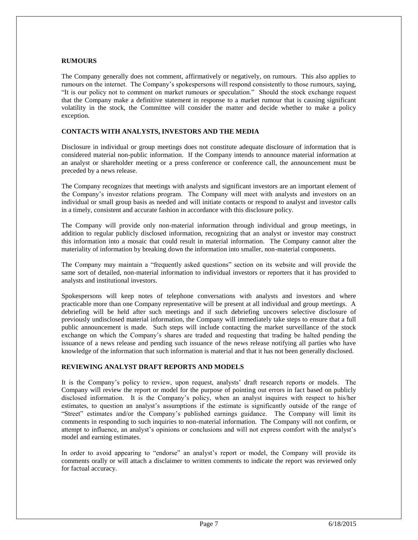#### **RUMOURS**

The Company generally does not comment, affirmatively or negatively, on rumours. This also applies to rumours on the internet. The Company's spokespersons will respond consistently to those rumours, saying, "It is our policy not to comment on market rumours or speculation." Should the stock exchange request that the Company make a definitive statement in response to a market rumour that is causing significant volatility in the stock, the Committee will consider the matter and decide whether to make a policy exception.

#### **CONTACTS WITH ANALYSTS, INVESTORS AND THE MEDIA**

Disclosure in individual or group meetings does not constitute adequate disclosure of information that is considered material non-public information. If the Company intends to announce material information at an analyst or shareholder meeting or a press conference or conference call, the announcement must be preceded by a news release.

The Company recognizes that meetings with analysts and significant investors are an important element of the Company's investor relations program. The Company will meet with analysts and investors on an individual or small group basis as needed and will initiate contacts or respond to analyst and investor calls in a timely, consistent and accurate fashion in accordance with this disclosure policy.

The Company will provide only non-material information through individual and group meetings, in addition to regular publicly disclosed information, recognizing that an analyst or investor may construct this information into a mosaic that could result in material information. The Company cannot alter the materiality of information by breaking down the information into smaller, non-material components.

The Company may maintain a "frequently asked questions" section on its website and will provide the same sort of detailed, non-material information to individual investors or reporters that it has provided to analysts and institutional investors.

Spokespersons will keep notes of telephone conversations with analysts and investors and where practicable more than one Company representative will be present at all individual and group meetings. A debriefing will be held after such meetings and if such debriefing uncovers selective disclosure of previously undisclosed material information, the Company will immediately take steps to ensure that a full public announcement is made. Such steps will include contacting the market surveillance of the stock exchange on which the Company's shares are traded and requesting that trading be halted pending the issuance of a news release and pending such issuance of the news release notifying all parties who have knowledge of the information that such information is material and that it has not been generally disclosed.

### **REVIEWING ANALYST DRAFT REPORTS AND MODELS**

It is the Company's policy to review, upon request, analysts' draft research reports or models. The Company will review the report or model for the purpose of pointing out errors in fact based on publicly disclosed information. It is the Company's policy, when an analyst inquires with respect to his/her estimates, to question an analyst's assumptions if the estimate is significantly outside of the range of "Street" estimates and/or the Company's published earnings guidance. The Company will limit its comments in responding to such inquiries to non-material information. The Company will not confirm, or attempt to influence, an analyst's opinions or conclusions and will not express comfort with the analyst's model and earning estimates.

In order to avoid appearing to "endorse" an analyst's report or model, the Company will provide its comments orally or will attach a disclaimer to written comments to indicate the report was reviewed only for factual accuracy.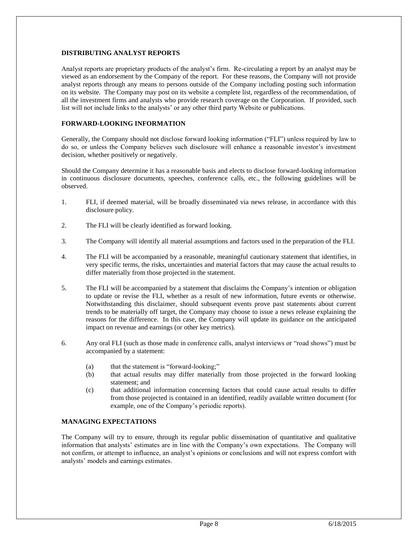## **DISTRIBUTING ANALYST REPORTS**

Analyst reports are proprietary products of the analyst's firm. Re-circulating a report by an analyst may be viewed as an endorsement by the Company of the report. For these reasons, the Company will not provide analyst reports through any means to persons outside of the Company including posting such information on its website. The Company may post on its website a complete list, regardless of the recommendation, of all the investment firms and analysts who provide research coverage on the Corporation. If provided, such list will not include links to the analysts' or any other third party Website or publications.

# **FORWARD-LOOKING INFORMATION**

Generally, the Company should not disclose forward looking information ("FLI") unless required by law to do so, or unless the Company believes such disclosure will enhance a reasonable investor's investment decision, whether positively or negatively.

Should the Company determine it has a reasonable basis and elects to disclose forward-looking information in continuous disclosure documents, speeches, conference calls, etc., the following guidelines will be observed.

- 1. FLI, if deemed material, will be broadly disseminated via news release, in accordance with this disclosure policy.
- 2. The FLI will be clearly identified as forward looking.
- 3. The Company will identify all material assumptions and factors used in the preparation of the FLI.
- 4. The FLI will be accompanied by a reasonable, meaningful cautionary statement that identifies, in very specific terms, the risks, uncertainties and material factors that may cause the actual results to differ materially from those projected in the statement.
- 5. The FLI will be accompanied by a statement that disclaims the Company's intention or obligation to update or revise the FLI, whether as a result of new information, future events or otherwise. Notwithstanding this disclaimer, should subsequent events prove past statements about current trends to be materially off target, the Company may choose to issue a news release explaining the reasons for the difference. In this case, the Company will update its guidance on the anticipated impact on revenue and earnings (or other key metrics).
- 6. Any oral FLI (such as those made in conference calls, analyst interviews or "road shows") must be accompanied by a statement:
	- (a) that the statement is "forward-looking;"
	- (b) that actual results may differ materially from those projected in the forward looking statement; and
	- (c) that additional information concerning factors that could cause actual results to differ from those projected is contained in an identified, readily available written document (for example, one of the Company's periodic reports).

# **MANAGING EXPECTATIONS**

The Company will try to ensure, through its regular public dissemination of quantitative and qualitative information that analysts' estimates are in line with the Company's own expectations. The Company will not confirm, or attempt to influence, an analyst's opinions or conclusions and will not express comfort with analysts' models and earnings estimates.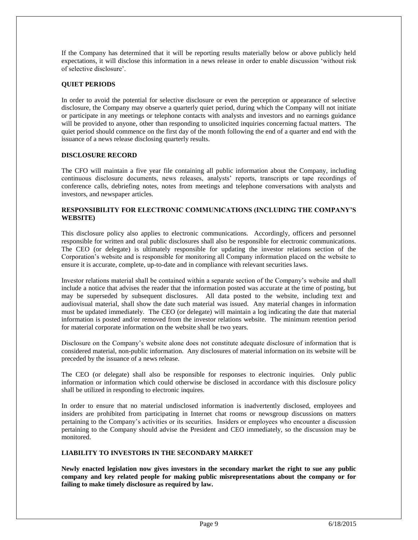If the Company has determined that it will be reporting results materially below or above publicly held expectations, it will disclose this information in a news release in order to enable discussion 'without risk of selective disclosure'.

# **QUIET PERIODS**

In order to avoid the potential for selective disclosure or even the perception or appearance of selective disclosure, the Company may observe a quarterly quiet period, during which the Company will not initiate or participate in any meetings or telephone contacts with analysts and investors and no earnings guidance will be provided to anyone, other than responding to unsolicited inquiries concerning factual matters. The quiet period should commence on the first day of the month following the end of a quarter and end with the issuance of a news release disclosing quarterly results.

#### **DISCLOSURE RECORD**

The CFO will maintain a five year file containing all public information about the Company, including continuous disclosure documents, news releases, analysts' reports, transcripts or tape recordings of conference calls, debriefing notes, notes from meetings and telephone conversations with analysts and investors, and newspaper articles.

### **RESPONSIBILITY FOR ELECTRONIC COMMUNICATIONS (INCLUDING THE COMPANY'S WEBSITE)**

This disclosure policy also applies to electronic communications. Accordingly, officers and personnel responsible for written and oral public disclosures shall also be responsible for electronic communications. The CEO (or delegate) is ultimately responsible for updating the investor relations section of the Corporation's website and is responsible for monitoring all Company information placed on the website to ensure it is accurate, complete, up-to-date and in compliance with relevant securities laws.

Investor relations material shall be contained within a separate section of the Company's website and shall include a notice that advises the reader that the information posted was accurate at the time of posting, but may be superseded by subsequent disclosures. All data posted to the website, including text and audiovisual material, shall show the date such material was issued. Any material changes in information must be updated immediately. The CEO (or delegate) will maintain a log indicating the date that material information is posted and/or removed from the investor relations website. The minimum retention period for material corporate information on the website shall be two years.

Disclosure on the Company's website alone does not constitute adequate disclosure of information that is considered material, non-public information. Any disclosures of material information on its website will be preceded by the issuance of a news release.

The CEO (or delegate) shall also be responsible for responses to electronic inquiries. Only public information or information which could otherwise be disclosed in accordance with this disclosure policy shall be utilized in responding to electronic inquires.

In order to ensure that no material undisclosed information is inadvertently disclosed, employees and insiders are prohibited from participating in Internet chat rooms or newsgroup discussions on matters pertaining to the Company's activities or its securities. Insiders or employees who encounter a discussion pertaining to the Company should advise the President and CEO immediately, so the discussion may be monitored.

## **LIABILITY TO INVESTORS IN THE SECONDARY MARKET**

**Newly enacted legislation now gives investors in the secondary market the right to sue any public company and key related people for making public misrepresentations about the company or for failing to make timely disclosure as required by law.**